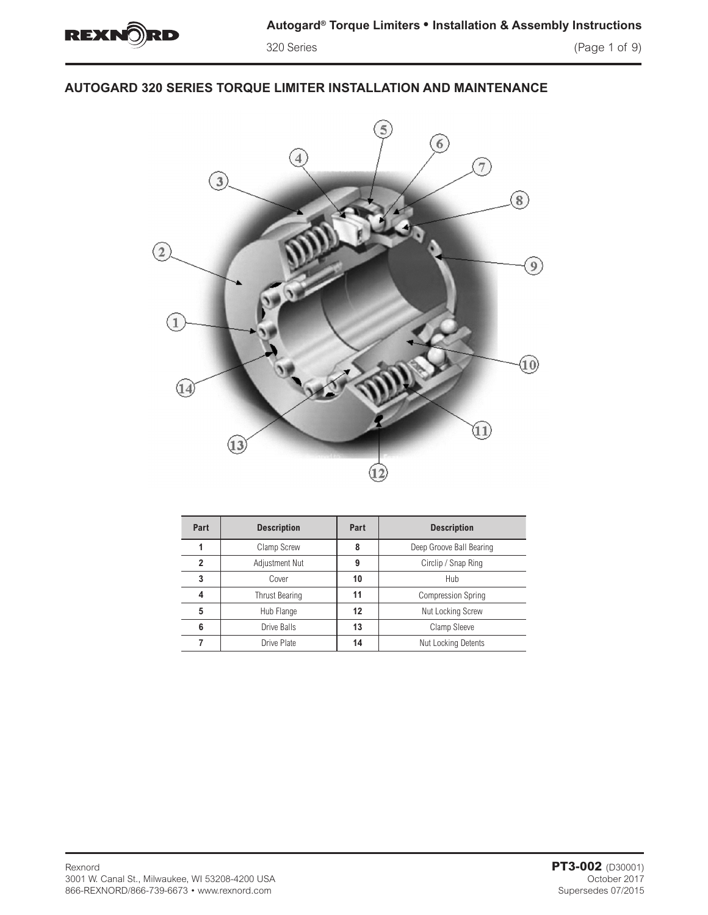

# **AUTOGARD 320 SERIES TORQUE LIMITER INSTALLATION AND MAINTENANCE**



| Part | <b>Description</b>    | Part                      | <b>Description</b>        |  |  |
|------|-----------------------|---------------------------|---------------------------|--|--|
|      | Clamp Screw           | 8                         | Deep Groove Ball Bearing  |  |  |
| 2    | Adjustment Nut        | Circlip / Snap Ring<br>9  |                           |  |  |
| 3    | Cover                 | 10                        | Hub                       |  |  |
|      | <b>Thrust Bearing</b> | 11                        | <b>Compression Spring</b> |  |  |
| 5    | Hub Flange            | 12                        | <b>Nut Locking Screw</b>  |  |  |
| 6    | Drive Balls           | 13                        | Clamp Sleeve              |  |  |
|      | Drive Plate           | Nut Locking Detents<br>14 |                           |  |  |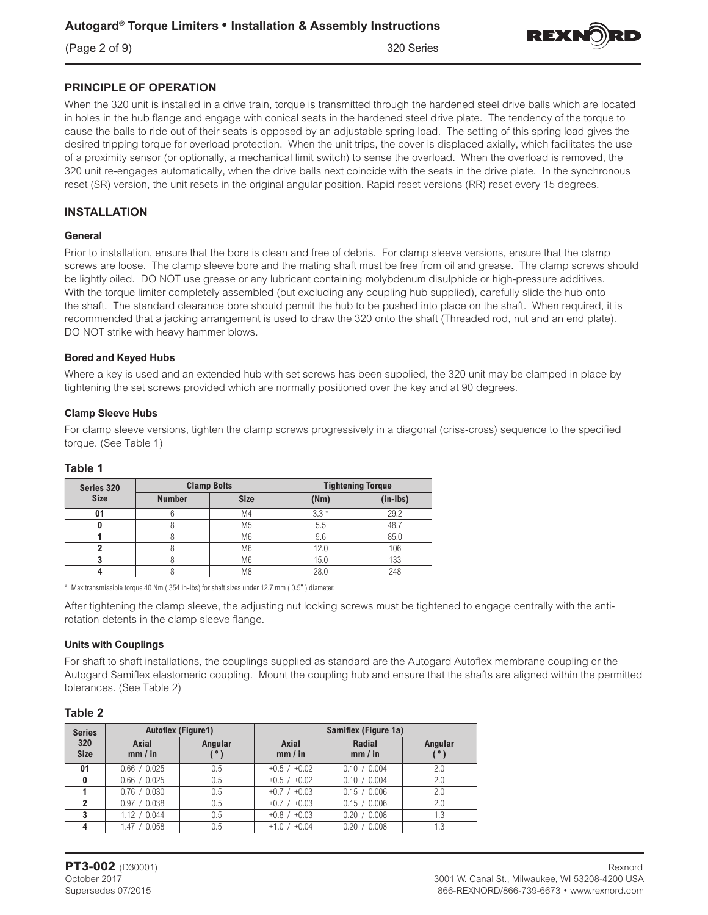(Page 2 of 9) 320 Series



# **PRINCIPLE OF OPERATION**

When the 320 unit is installed in a drive train, torque is transmitted through the hardened steel drive balls which are located in holes in the hub flange and engage with conical seats in the hardened steel drive plate. The tendency of the torque to cause the balls to ride out of their seats is opposed by an adjustable spring load. The setting of this spring load gives the desired tripping torque for overload protection. When the unit trips, the cover is displaced axially, which facilitates the use of a proximity sensor (or optionally, a mechanical limit switch) to sense the overload. When the overload is removed, the 320 unit re-engages automatically, when the drive balls next coincide with the seats in the drive plate. In the synchronous reset (SR) version, the unit resets in the original angular position. Rapid reset versions (RR) reset every 15 degrees.

# **INSTALLATION**

#### **General**

Prior to installation, ensure that the bore is clean and free of debris. For clamp sleeve versions, ensure that the clamp screws are loose. The clamp sleeve bore and the mating shaft must be free from oil and grease. The clamp screws should be lightly oiled. DO NOT use grease or any lubricant containing molybdenum disulphide or high-pressure additives. With the torque limiter completely assembled (but excluding any coupling hub supplied), carefully slide the hub onto the shaft. The standard clearance bore should permit the hub to be pushed into place on the shaft. When required, it is recommended that a jacking arrangement is used to draw the 320 onto the shaft (Threaded rod, nut and an end plate). DO NOT strike with heavy hammer blows.

#### **Bored and Keyed Hubs**

Where a key is used and an extended hub with set screws has been supplied, the 320 unit may be clamped in place by tightening the set screws provided which are normally positioned over the key and at 90 degrees.

#### **Clamp Sleeve Hubs**

For clamp sleeve versions, tighten the clamp screws progressively in a diagonal (criss-cross) sequence to the specified torque. (See Table 1)

| Series 320  |               | <b>Clamp Bolts</b> | <b>Tightening Torque</b> |            |  |
|-------------|---------------|--------------------|--------------------------|------------|--|
| <b>Size</b> | <b>Number</b> | <b>Size</b>        | (Nm)                     | $(in-lbs)$ |  |
|             |               | M4                 | $3.3*$                   | 29.2       |  |
|             |               | M <sub>5</sub>     | 5.5                      | 48.7       |  |
|             |               | M <sub>6</sub>     | 9.6                      | 85.0       |  |
|             |               | M <sub>6</sub>     | 12.0                     | 106        |  |
|             |               | M <sub>6</sub>     | 15.0                     | 133        |  |
|             |               | M8                 | 28.0                     | 248        |  |

## **Table 1**

\* Max transmissible torque 40 Nm ( 354 in-lbs) for shaft sizes under 12.7 mm ( 0.5" ) diameter.

After tightening the clamp sleeve, the adjusting nut locking screws must be tightened to engage centrally with the antirotation detents in the clamp sleeve flange.

#### **Units with Couplings**

For shaft to shaft installations, the couplings supplied as standard are the Autogard Autoflex membrane coupling or the Autogard Samiflex elastomeric coupling. Mount the coupling hub and ensure that the shafts are aligned within the permitted tolerances. (See Table 2)

#### **Table 2**

| <b>Series</b>      |                  | <b>Autoflex (Figure1)</b> |                  | Samiflex (Figure 1a) |                |
|--------------------|------------------|---------------------------|------------------|----------------------|----------------|
| 320<br><b>Size</b> | Axial<br>mm / in | Angular                   | Axial<br>mm / in | Radial<br>mm / in    | Angular<br>່ວ່ |
| 01                 | 0.66 / 0.025     | 0.5                       | $+0.5 / +0.02$   | 0.10 / 0.004         | 2.0            |
| 0                  | 0.66 / 0.025     | 0.5                       | $+0.5$ / $+0.02$ | 0.10 / 0.004         | 2.0            |
|                    | 0.76 / 0.030     | 0.5                       | $+0.7$ / $+0.03$ | 0.15 / 0.006         | 2.0            |
|                    | 0.97 / 0.038     | 0.5                       | $+0.7$ / $+0.03$ | 0.15 / 0.006         | 2.0            |
|                    | 1.12 / 0.044     | 0.5                       | $+0.8$ / $+0.03$ | 0.20 / 0.008         | 1.3            |
| 4                  | 1.47 / 0.058     | 0.5                       | $+1.0$ / $+0.04$ | 0.20 / 0.008         | 1.3            |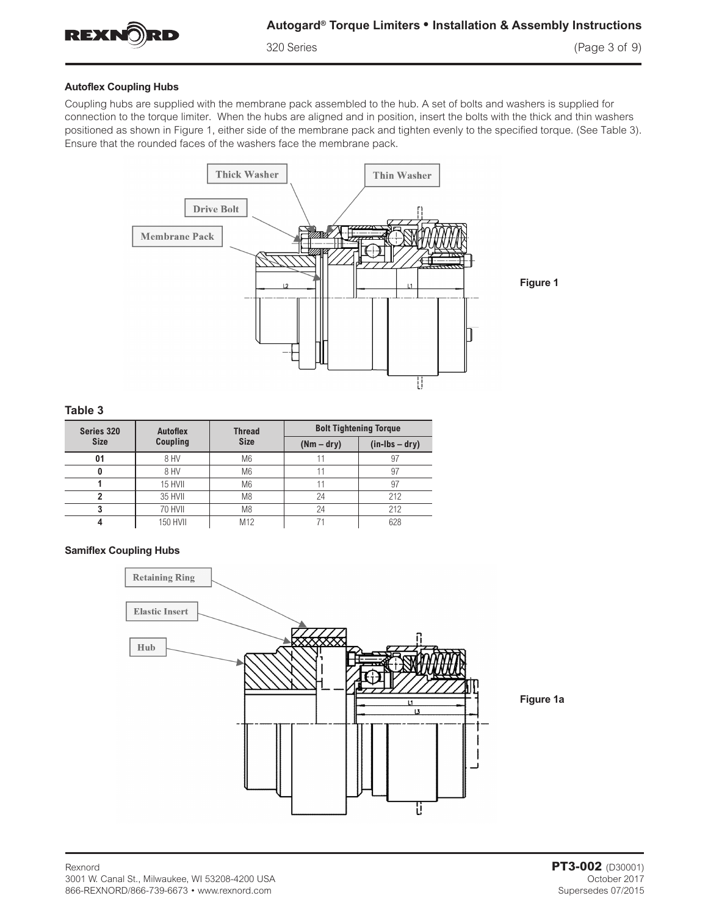

#### **Autoflex Coupling Hubs**

Coupling hubs are supplied with the membrane pack assembled to the hub. A set of bolts and washers is supplied for connection to the torque limiter. When the hubs are aligned and in position, insert the bolts with the thick and thin washers positioned as shown in Figure 1, either side of the membrane pack and tighten evenly to the specified torque. (See Table 3). Ensure that the rounded faces of the washers face the membrane pack.



**Figure 1**

**Figure 1a**

#### **Table 3**

| Series 320  | <b>Autoflex</b> | <b>Thread</b>   | <b>Bolt Tightening Torque</b> |                |  |
|-------------|-----------------|-----------------|-------------------------------|----------------|--|
| <b>Size</b> | <b>Coupling</b> | <b>Size</b>     | $(Nm - dry)$                  | $(in-lbs-dry)$ |  |
| 01          | 8 HV            | M <sub>6</sub>  |                               | 97             |  |
|             | 8 HV            | M <sub>6</sub>  |                               | 97             |  |
|             | 15 HVII         | M <sub>6</sub>  |                               | 97             |  |
|             | 35 HVII         | M <sub>8</sub>  | 24                            | 212            |  |
|             | 70 HVII         | M <sub>8</sub>  | 24                            | 212            |  |
|             | <b>150 HVII</b> | M <sub>12</sub> |                               | 628            |  |

#### **Samiflex Coupling Hubs**



Rexnord **PT3-002** (D30001) 3001 W. Canal St., Milwaukee, WI 53208-4200 USA 866-REXNORD/866-739-6673 • www.rexnord.com Supersedes 07/2015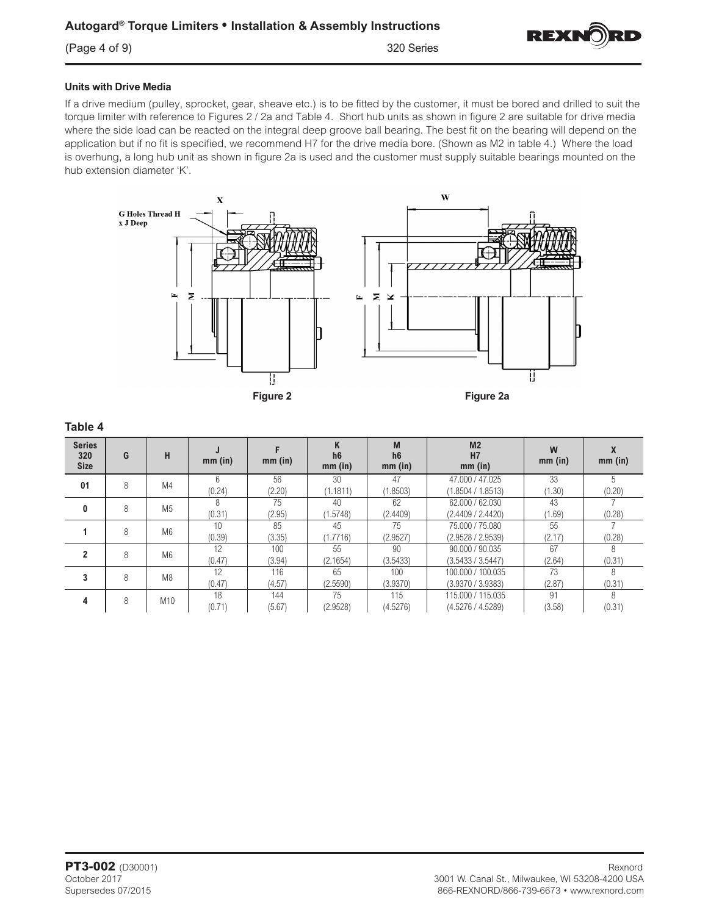

#### **Units with Drive Media**

If a drive medium (pulley, sprocket, gear, sheave etc.) is to be fitted by the customer, it must be bored and drilled to suit the torque limiter with reference to Figures 2 / 2a and Table 4. Short hub units as shown in figure 2 are suitable for drive media where the side load can be reacted on the integral deep groove ball bearing. The best fit on the bearing will depend on the application but if no fit is specified, we recommend H7 for the drive media bore. (Shown as M2 in table 4.) Where the load is overhung, a long hub unit as shown in figure 2a is used and the customer must supply suitable bearings mounted on the hub extension diameter 'K'.



| <b>Series</b><br>320<br><b>Size</b> | G | H               | mm (in)      | mm (in)       | n<br>h6<br>$mm$ (in) | M<br>h <sub>6</sub><br>mm (in) | M <sub>2</sub><br>H7<br>$mm$ (in)      | W<br>$mm$ (in) | $mm$ (in)    |
|-------------------------------------|---|-----------------|--------------|---------------|----------------------|--------------------------------|----------------------------------------|----------------|--------------|
| 01                                  | 8 | M4              | 6<br>(0.24)  | 56<br>(2.20)  | 30<br>(1.1811)       | 47<br>(1.8503)                 | 47.000 / 47.025<br>(1.8504 / 1.8513)   | 33<br>(1.30)   | h.<br>(0.20) |
| 0                                   | 8 | M <sub>5</sub>  | 8<br>(0.31)  | 75<br>(2.95)  | 40<br>(1.5748)       | 62<br>(2.4409)                 | 62,000 / 62,030<br>(2.4409 / 2.4420)   | 43<br>(1.69)   | (0.28)       |
|                                     | 8 | M <sub>6</sub>  | 10<br>(0.39) | 85<br>(3.35)  | 45<br>(1.7716)       | 75<br>(2.9527)                 | 75.000 / 75.080<br>(2.9528 / 2.9539)   | 55<br>(2.17)   | (0.28)       |
| $\mathbf{2}$                        | 8 | M <sub>6</sub>  | 12<br>(0.47) | 100<br>(3.94) | 55<br>(2.1654)       | 90<br>(3.5433)                 | 90,000 / 90,035<br>(3.5433 / 3.5447)   | 67<br>(2.64)   | (0.31)       |
| 3                                   | 8 | M <sub>8</sub>  | 12<br>(0.47) | 116<br>(4.57) | 65<br>(2.5590)       | 100<br>(3.9370)                | 100.000 / 100.035<br>(3.9370 / 3.9383) | 73<br>(2.87)   | (0.31)       |
| 4                                   | 8 | M <sub>10</sub> | 18<br>(0.71) | 144<br>(5.67) | 75<br>(2.9528)       | 115<br>(4.5276)                | 115.000 / 115.035<br>(4.5276 / 4.5289) | 91<br>(3.58)   | (0.31)       |

# **Table 4**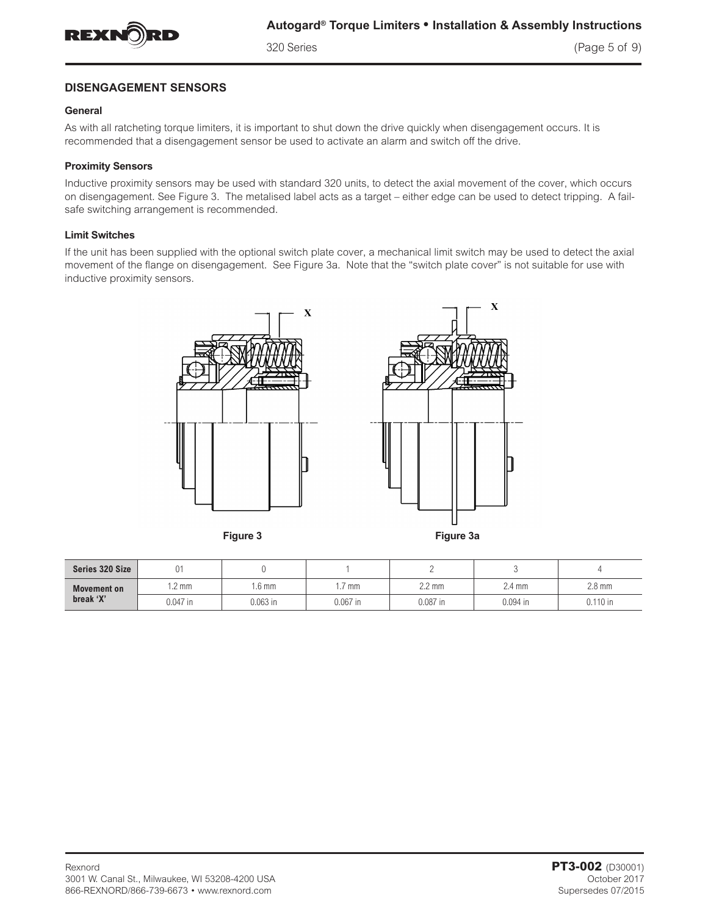

320 Series (Page 5 of 9)

# **DISENGAGEMENT SENSORS**

#### **General**

As with all ratcheting torque limiters, it is important to shut down the drive quickly when disengagement occurs. It is recommended that a disengagement sensor be used to activate an alarm and switch off the drive.

#### **Proximity Sensors**

Inductive proximity sensors may be used with standard 320 units, to detect the axial movement of the cover, which occurs on disengagement. See Figure 3. The metalised label acts as a target – either edge can be used to detect tripping. A failsafe switching arrangement is recommended.

#### **Limit Switches**

If the unit has been supplied with the optional switch plate cover, a mechanical limit switch may be used to detect the axial movement of the flange on disengagement. See Figure 3a. Note that the "switch plate cover" is not suitable for use with inductive proximity sensors.



**Figure 3 Figure 3a**

X

| Series 320 Size          | $\bigcap$<br>Uı |                 |            |                  |            |                  |
|--------------------------|-----------------|-----------------|------------|------------------|------------|------------------|
| Movement on<br>break 'X' | $\sim$<br>.2 mm | .6 <sub>m</sub> | mm         | $2.2 \text{ mm}$ | 2.4 mm     | $2.8 \text{ mm}$ |
|                          | 0.047 in        | $0.063$ in      | $0.067$ in | $0.087$ in       | $0.094$ in | $\degree$ 110 in |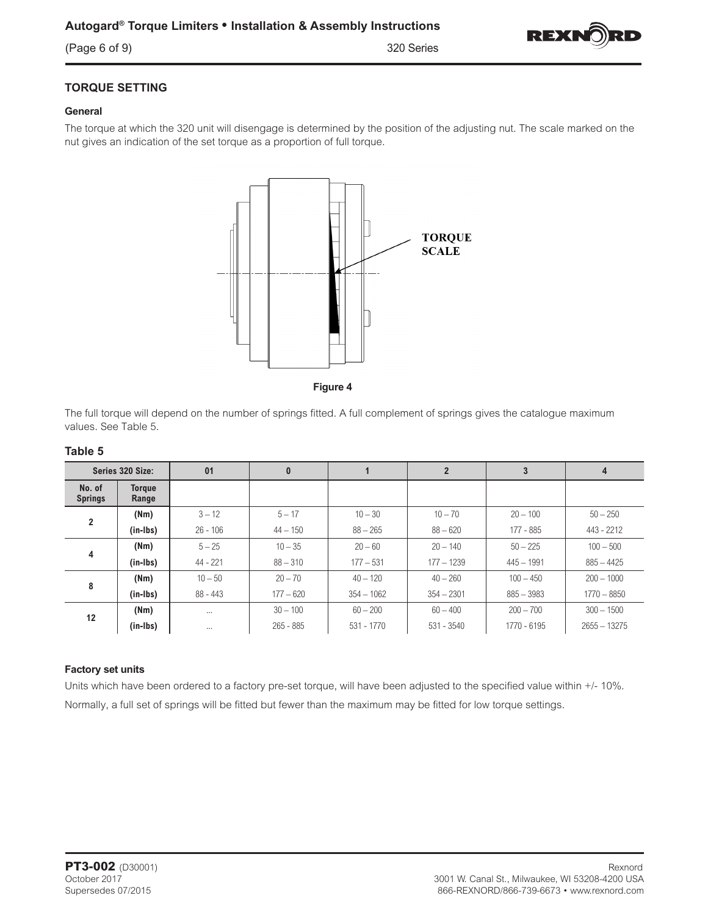

# **TORQUE SETTING**

# **General**

The torque at which the 320 unit will disengage is determined by the position of the adjusting nut. The scale marked on the nut gives an indication of the set torque as a proportion of full torque.



**Figure 4**

The full torque will depend on the number of springs fitted. A full complement of springs gives the catalogue maximum values. See Table 5.

| Series 320 Size:         |                        | 01         | $\bf{0}$    |              |              | 3            | 4              |
|--------------------------|------------------------|------------|-------------|--------------|--------------|--------------|----------------|
| No. of<br><b>Springs</b> | <b>Torque</b><br>Range |            |             |              |              |              |                |
| $\overline{2}$           | (Nm)                   | $3 - 12$   | $5 - 17$    | $10 - 30$    | $10 - 70$    | $20 - 100$   | $50 - 250$     |
|                          | (in-Ibs)               | $26 - 106$ | $44 - 150$  | $88 - 265$   | $88 - 620$   | 177 - 885    | 443 - 2212     |
|                          | (Nm)                   | $5 - 25$   | $10 - 35$   | $20 - 60$    | $20 - 140$   | $50 - 225$   | $100 - 500$    |
| 4                        | (in-Ibs)               | $44 - 221$ | $88 - 310$  | $177 - 531$  | $177 - 1239$ | $445 - 1991$ | $885 - 4425$   |
| 8                        | (Nm)                   | $10 - 50$  | $20 - 70$   | $40 - 120$   | $40 - 260$   | $100 - 450$  | $200 - 1000$   |
|                          | (in-Ibs)               | $88 - 443$ | $177 - 620$ | $354 - 1062$ | $354 - 2301$ | $885 - 3983$ | $1770 - 8850$  |
| 12                       | (Nm)                   | $\cdots$   | $30 - 100$  | $60 - 200$   | $60 - 400$   | $200 - 700$  | $300 - 1500$   |
|                          | (in-Ibs)               | $\cdots$   | $265 - 885$ | 531 - 1770   | $531 - 3540$ | 1770 - 6195  | $2655 - 13275$ |

## **Table 5**

#### **Factory set units**

Units which have been ordered to a factory pre-set torque, will have been adjusted to the specified value within +/- 10%. Normally, a full set of springs will be fitted but fewer than the maximum may be fitted for low torque settings.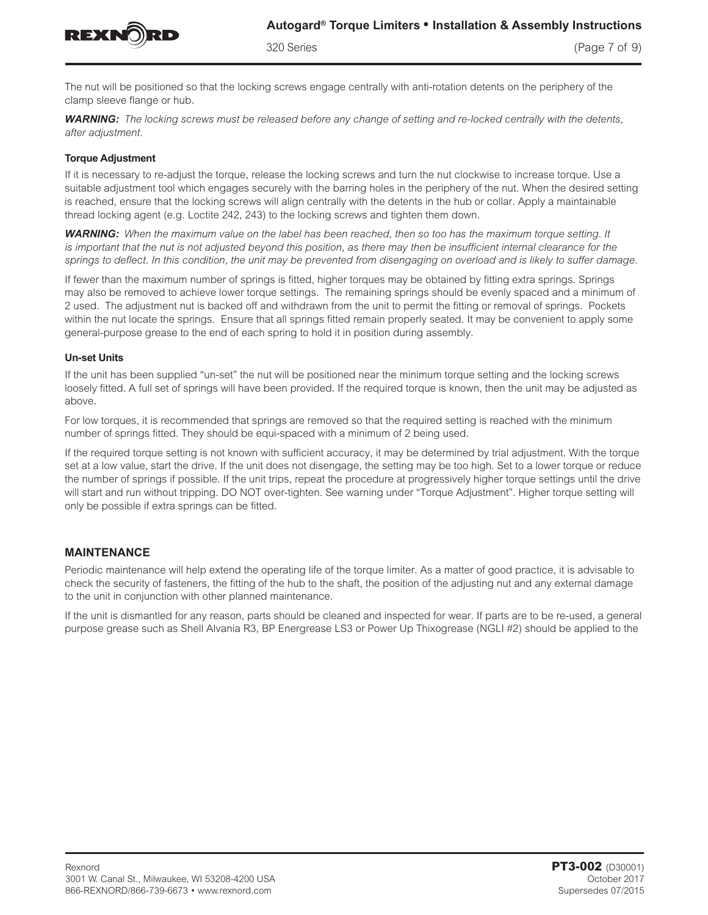

320 Series (Page 7 of 9)

The nut will be positioned so that the locking screws engage centrally with anti-rotation detents on the periphery of the clamp sleeve flange or hub.

*WARNING: The locking screws must be released before any change of setting and re-locked centrally with the detents, after adjustment.*

#### **Torque Adjustment**

If it is necessary to re-adjust the torque, release the locking screws and turn the nut clockwise to increase torque. Use a suitable adjustment tool which engages securely with the barring holes in the periphery of the nut. When the desired setting is reached, ensure that the locking screws will align centrally with the detents in the hub or collar. Apply a maintainable thread locking agent (e.g. Loctite 242, 243) to the locking screws and tighten them down.

*WARNING: When the maximum value on the label has been reached, then so too has the maximum torque setting. It is important that the nut is not adjusted beyond this position, as there may then be insufficient internal clearance for the springs to deflect. In this condition, the unit may be prevented from disengaging on overload and is likely to suffer damage.*

If fewer than the maximum number of springs is fitted, higher torques may be obtained by fitting extra springs. Springs may also be removed to achieve lower torque settings. The remaining springs should be evenly spaced and a minimum of 2 used. The adjustment nut is backed off and withdrawn from the unit to permit the fitting or removal of springs. Pockets within the nut locate the springs. Ensure that all springs fitted remain properly seated. It may be convenient to apply some general-purpose grease to the end of each spring to hold it in position during assembly.

#### **Un-set Units**

If the unit has been supplied "un-set" the nut will be positioned near the minimum torque setting and the locking screws loosely fitted. A full set of springs will have been provided. If the required torque is known, then the unit may be adjusted as above.

For low torques, it is recommended that springs are removed so that the required setting is reached with the minimum number of springs fitted. They should be equi-spaced with a minimum of 2 being used.

If the required torque setting is not known with sufficient accuracy, it may be determined by trial adjustment. With the torque set at a low value, start the drive. If the unit does not disengage, the setting may be too high. Set to a lower torque or reduce the number of springs if possible. If the unit trips, repeat the procedure at progressively higher torque settings until the drive will start and run without tripping. DO NOT over-tighten. See warning under "Torque Adjustment". Higher torque setting will only be possible if extra springs can be fitted.

## **MAINTENANCE**

Periodic maintenance will help extend the operating life of the torque limiter. As a matter of good practice, it is advisable to check the security of fasteners, the fitting of the hub to the shaft, the position of the adjusting nut and any external damage to the unit in conjunction with other planned maintenance.

If the unit is dismantled for any reason, parts should be cleaned and inspected for wear. If parts are to be re-used, a general purpose grease such as Shell Alvania R3, BP Energrease LS3 or Power Up Thixogrease (NGLI #2) should be applied to the